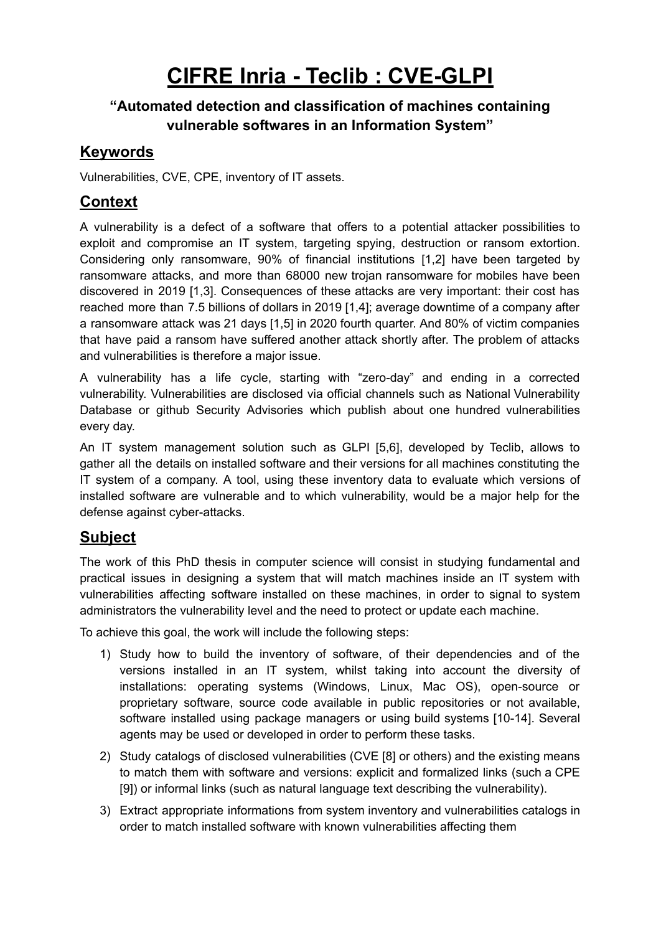# **CIFRE Inria - Teclib : CVE-GLPI**

#### **"Automated detection and classification of machines containing vulnerable softwares in an Information System"**

#### **Keywords**

Vulnerabilities, CVE, CPE, inventory of IT assets.

## **Context**

A vulnerability is a defect of a software that offers to a potential attacker possibilities to exploit and compromise an IT system, targeting spying, destruction or ransom extortion. Considering only ransomware, 90% of financial institutions [1,2] have been targeted by ransomware attacks, and more than 68000 new trojan ransomware for mobiles have been discovered in 2019 [1,3]. Consequences of these attacks are very important: their cost has reached more than 7.5 billions of dollars in 2019 [1,4]; average downtime of a company after a ransomware attack was 21 days [1,5] in 2020 fourth quarter. And 80% of victim companies that have paid a ransom have suffered another attack shortly after. The problem of attacks and vulnerabilities is therefore a major issue.

A vulnerability has a life cycle, starting with "zero-day" and ending in a corrected vulnerability. Vulnerabilities are disclosed via official channels such as National Vulnerability Database or github Security Advisories which publish about one hundred vulnerabilities every day.

An IT system management solution such as GLPI [5,6], developed by Teclib, allows to gather all the details on installed software and their versions for all machines constituting the IT system of a company. A tool, using these inventory data to evaluate which versions of installed software are vulnerable and to which vulnerability, would be a major help for the defense against cyber-attacks.

## **Subject**

The work of this PhD thesis in computer science will consist in studying fundamental and practical issues in designing a system that will match machines inside an IT system with vulnerabilities affecting software installed on these machines, in order to signal to system administrators the vulnerability level and the need to protect or update each machine.

To achieve this goal, the work will include the following steps:

- 1) Study how to build the inventory of software, of their dependencies and of the versions installed in an IT system, whilst taking into account the diversity of installations: operating systems (Windows, Linux, Mac OS), open-source or proprietary software, source code available in public repositories or not available, software installed using package managers or using build systems [10-14]. Several agents may be used or developed in order to perform these tasks.
- 2) Study catalogs of disclosed vulnerabilities (CVE [8] or others) and the existing means to match them with software and versions: explicit and formalized links (such a CPE [9]) or informal links (such as natural language text describing the vulnerability).
- 3) Extract appropriate informations from system inventory and vulnerabilities catalogs in order to match installed software with known vulnerabilities affecting them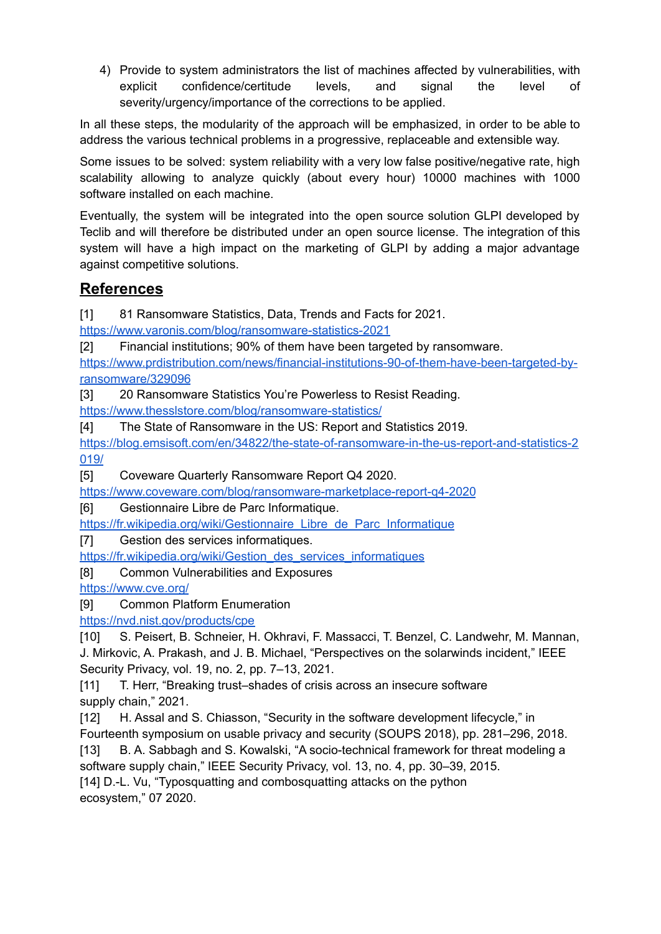4) Provide to system administrators the list of machines affected by vulnerabilities, with explicit confidence/certitude levels, and signal the level of severity/urgency/importance of the corrections to be applied.

In all these steps, the modularity of the approach will be emphasized, in order to be able to address the various technical problems in a progressive, replaceable and extensible way.

Some issues to be solved: system reliability with a very low false positive/negative rate, high scalability allowing to analyze quickly (about every hour) 10000 machines with 1000 software installed on each machine.

Eventually, the system will be integrated into the open source solution GLPI developed by Teclib and will therefore be distributed under an open source license. The integration of this system will have a high impact on the marketing of GLPI by adding a major advantage against competitive solutions.

#### **References**

[1] 81 Ransomware Statistics, Data, Trends and Facts for 2021.

<https://www.varonis.com/blog/ransomware-statistics-2021>

[2] Financial institutions; 90% of them have been targeted by ransomware.

[https://www.prdistribution.com/news/financial-institutions-90-of-them-have-been-targeted-by](https://www.prdistribution.com/news/financial-institutions-90-of-them-have-been-targeted-by-ransomware/329096)[ransomware/329096](https://www.prdistribution.com/news/financial-institutions-90-of-them-have-been-targeted-by-ransomware/329096)

[3] 20 Ransomware Statistics You're Powerless to Resist Reading.

<https://www.thesslstore.com/blog/ransomware-statistics/>

[4] The State of Ransomware in the US: Report and Statistics 2019.

[https://blog.emsisoft.com/en/34822/the-state-of-ransomware-in-the-us-report-and-statistics-2](https://blog.emsisoft.com/en/34822/the-state-of-ransomware-in-the-us-report-and-statistics-2019/) [019/](https://blog.emsisoft.com/en/34822/the-state-of-ransomware-in-the-us-report-and-statistics-2019/)

[5] Coveware Quarterly Ransomware Report Q4 2020.

<https://www.coveware.com/blog/ransomware-marketplace-report-q4-2020>

[6] Gestionnaire Libre de Parc Informatique.

[https://fr.wikipedia.org/wiki/Gestionnaire\\_Libre\\_de\\_Parc\\_Informatique](https://fr.wikipedia.org/wiki/Gestionnaire_Libre_de_Parc_Informatique)

[7] Gestion des services informatiques.

[https://fr.wikipedia.org/wiki/Gestion\\_des\\_services\\_informatiques](https://fr.wikipedia.org/wiki/Gestion_des_services_informatiques)

[8] Common Vulnerabilities and Exposures

<https://www.cve.org/>

[9] Common Platform Enumeration

<https://nvd.nist.gov/products/cpe>

[10] S. Peisert, B. Schneier, H. Okhravi, F. Massacci, T. Benzel, C. Landwehr, M. Mannan, J. Mirkovic, A. Prakash, and J. B. Michael, "Perspectives on the solarwinds incident," IEEE Security Privacy, vol. 19, no. 2, pp. 7–13, 2021.

[11] T. Herr, "Breaking trust–shades of crisis across an insecure software supply chain," 2021.

[12] H. Assal and S. Chiasson, "Security in the software development lifecycle," in Fourteenth symposium on usable privacy and security (SOUPS 2018), pp. 281–296, 2018.

[13] B. A. Sabbagh and S. Kowalski, "A socio-technical framework for threat modeling a software supply chain," IEEE Security Privacy, vol. 13, no. 4, pp. 30–39, 2015.

[14] D.-L. Vu, "Typosquatting and combosquatting attacks on the python ecosystem," 07 2020.